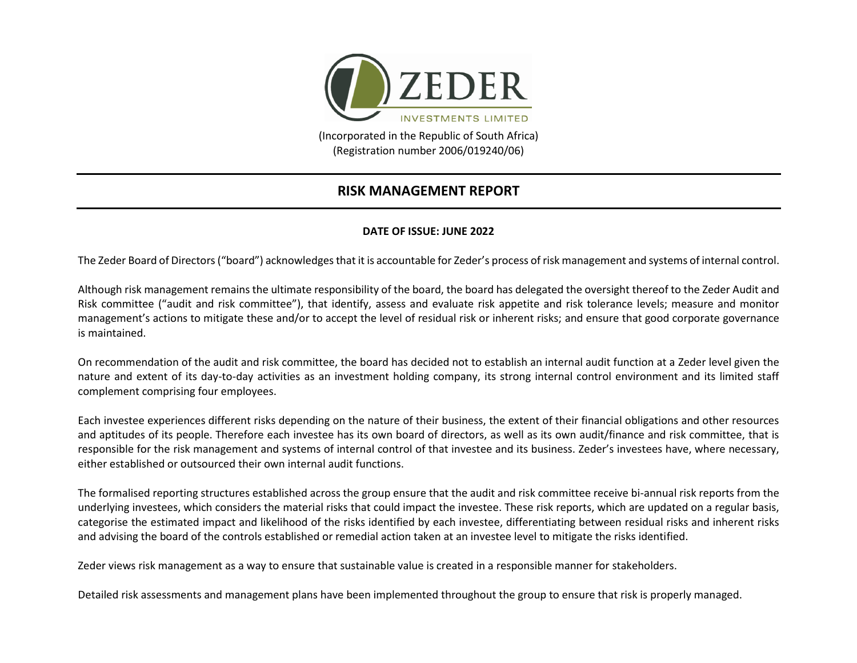

(Registration number 2006/019240/06)

## **RISK MANAGEMENT REPORT**

## **DATE OF ISSUE: JUNE 2022**

The Zeder Board of Directors ("board") acknowledges that it is accountable for Zeder's process of risk management and systems of internal control.

Although risk management remains the ultimate responsibility of the board, the board has delegated the oversight thereof to the Zeder Audit and Risk committee ("audit and risk committee"), that identify, assess and evaluate risk appetite and risk tolerance levels; measure and monitor management's actions to mitigate these and/or to accept the level of residual risk or inherent risks; and ensure that good corporate governance is maintained.

On recommendation of the audit and risk committee, the board has decided not to establish an internal audit function at a Zeder level given the nature and extent of its day-to-day activities as an investment holding company, its strong internal control environment and its limited staff complement comprising four employees.

Each investee experiences different risks depending on the nature of their business, the extent of their financial obligations and other resources and aptitudes of its people. Therefore each investee has its own board of directors, as well as its own audit/finance and risk committee, that is responsible for the risk management and systems of internal control of that investee and its business. Zeder's investees have, where necessary, either established or outsourced their own internal audit functions.

The formalised reporting structures established across the group ensure that the audit and risk committee receive bi-annual risk reports from the underlying investees, which considers the material risks that could impact the investee. These risk reports, which are updated on a regular basis, categorise the estimated impact and likelihood of the risks identified by each investee, differentiating between residual risks and inherent risks and advising the board of the controls established or remedial action taken at an investee level to mitigate the risks identified.

Zeder views risk management as a way to ensure that sustainable value is created in a responsible manner for stakeholders.

Detailed risk assessments and management plans have been implemented throughout the group to ensure that risk is properly managed.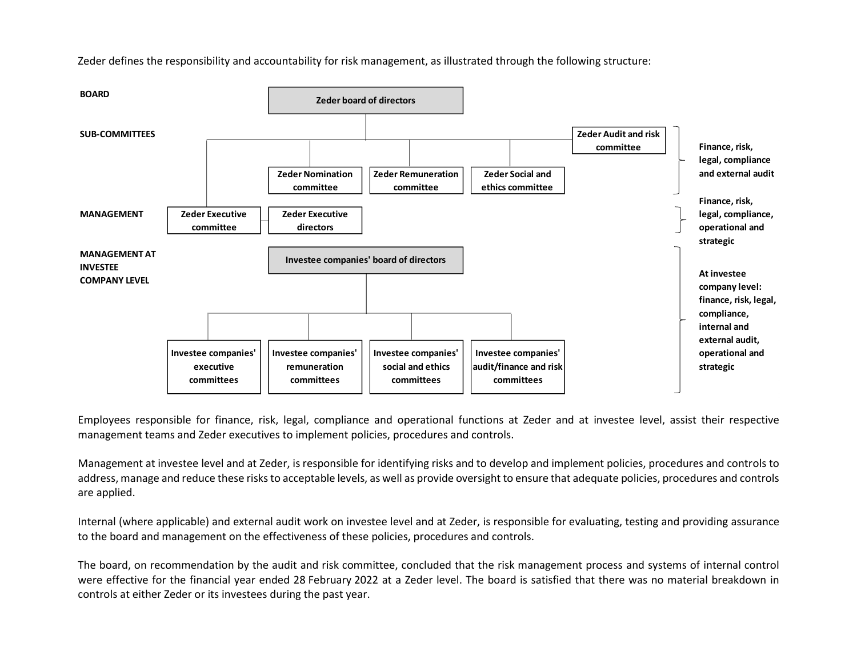

Zeder defines the responsibility and accountability for risk management, as illustrated through the following structure:

Employees responsible for finance, risk, legal, compliance and operational functions at Zeder and at investee level, assist their respective management teams and Zeder executives to implement policies, procedures and controls.

Management at investee level and at Zeder, is responsible for identifying risks and to develop and implement policies, procedures and controls to address, manage and reduce these risks to acceptable levels, as well as provide oversight to ensure that adequate policies, procedures and controls are applied.

Internal (where applicable) and external audit work on investee level and at Zeder, is responsible for evaluating, testing and providing assurance to the board and management on the effectiveness of these policies, procedures and controls.

The board, on recommendation by the audit and risk committee, concluded that the risk management process and systems of internal control were effective for the financial year ended 28 February 2022 at a Zeder level. The board is satisfied that there was no material breakdown in controls at either Zeder or its investees during the past year.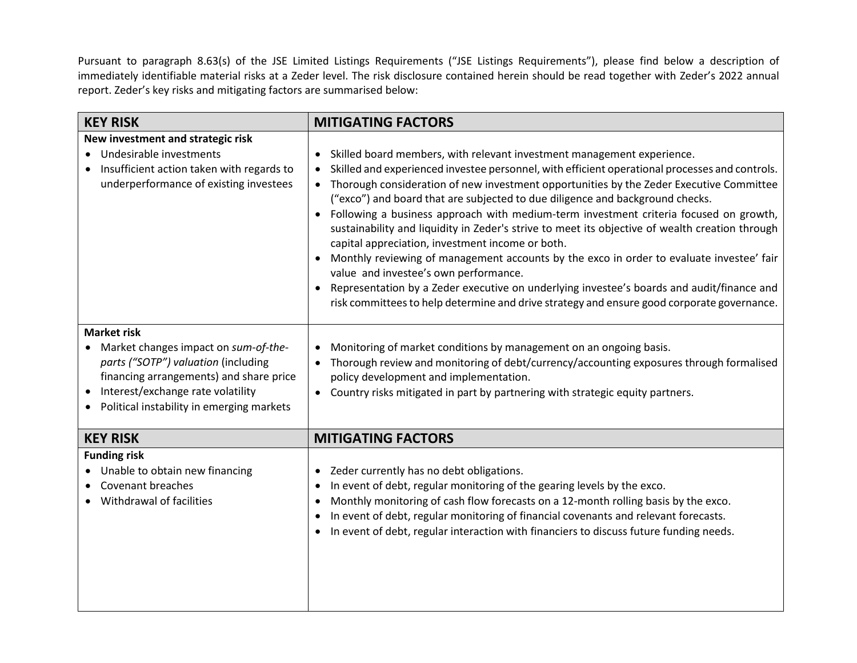Pursuant to paragraph 8.63(s) of the JSE Limited Listings Requirements ("JSE Listings Requirements"), please find below a description of immediately identifiable material risks at a Zeder level. The risk disclosure contained herein should be read together with Zeder's 2022 annual report. Zeder's key risks and mitigating factors are summarised below:

| <b>KEY RISK</b>                                                                                                                                                                                                                             | <b>MITIGATING FACTORS</b>                                                                                                                                                                                                                                                                                                                                                                                                                                                                                                                                                                                                                                                                                                                                                                                                                                                                                                                                                   |
|---------------------------------------------------------------------------------------------------------------------------------------------------------------------------------------------------------------------------------------------|-----------------------------------------------------------------------------------------------------------------------------------------------------------------------------------------------------------------------------------------------------------------------------------------------------------------------------------------------------------------------------------------------------------------------------------------------------------------------------------------------------------------------------------------------------------------------------------------------------------------------------------------------------------------------------------------------------------------------------------------------------------------------------------------------------------------------------------------------------------------------------------------------------------------------------------------------------------------------------|
| New investment and strategic risk<br>• Undesirable investments<br>Insufficient action taken with regards to<br>underperformance of existing investees                                                                                       | Skilled board members, with relevant investment management experience.<br>$\bullet$<br>Skilled and experienced investee personnel, with efficient operational processes and controls.<br>$\bullet$<br>Thorough consideration of new investment opportunities by the Zeder Executive Committee<br>("exco") and board that are subjected to due diligence and background checks.<br>Following a business approach with medium-term investment criteria focused on growth,<br>$\bullet$<br>sustainability and liquidity in Zeder's strive to meet its objective of wealth creation through<br>capital appreciation, investment income or both.<br>Monthly reviewing of management accounts by the exco in order to evaluate investee' fair<br>value and investee's own performance.<br>Representation by a Zeder executive on underlying investee's boards and audit/finance and<br>risk committees to help determine and drive strategy and ensure good corporate governance. |
| <b>Market risk</b><br>Market changes impact on sum-of-the-<br>$\bullet$<br>parts ("SOTP") valuation (including<br>financing arrangements) and share price<br>Interest/exchange rate volatility<br>Political instability in emerging markets | Monitoring of market conditions by management on an ongoing basis.<br>Thorough review and monitoring of debt/currency/accounting exposures through formalised<br>policy development and implementation.<br>Country risks mitigated in part by partnering with strategic equity partners.<br>$\bullet$                                                                                                                                                                                                                                                                                                                                                                                                                                                                                                                                                                                                                                                                       |
| <b>KEY RISK</b>                                                                                                                                                                                                                             | <b>MITIGATING FACTORS</b>                                                                                                                                                                                                                                                                                                                                                                                                                                                                                                                                                                                                                                                                                                                                                                                                                                                                                                                                                   |
| <b>Funding risk</b><br>• Unable to obtain new financing<br><b>Covenant breaches</b><br>Withdrawal of facilities                                                                                                                             | Zeder currently has no debt obligations.<br>In event of debt, regular monitoring of the gearing levels by the exco.<br>Monthly monitoring of cash flow forecasts on a 12-month rolling basis by the exco.<br>٠<br>In event of debt, regular monitoring of financial covenants and relevant forecasts.<br>In event of debt, regular interaction with financiers to discuss future funding needs.<br>٠                                                                                                                                                                                                                                                                                                                                                                                                                                                                                                                                                                        |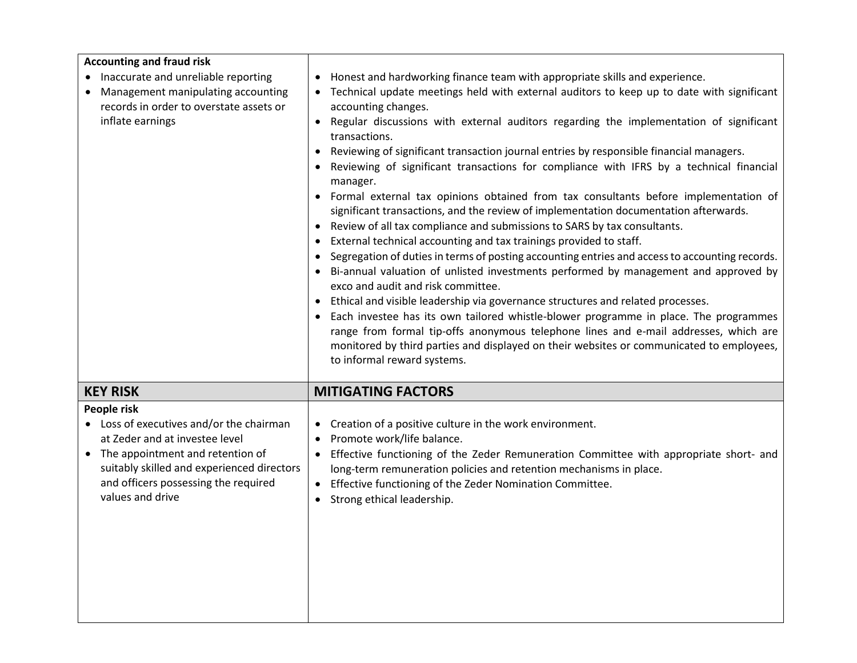| <b>Accounting and fraud risk</b><br>Inaccurate and unreliable reporting<br>Management manipulating accounting<br>records in order to overstate assets or<br>inflate earnings                                                                         | Honest and hardworking finance team with appropriate skills and experience.<br>٠<br>Technical update meetings held with external auditors to keep up to date with significant<br>accounting changes.<br>Regular discussions with external auditors regarding the implementation of significant<br>transactions.<br>Reviewing of significant transaction journal entries by responsible financial managers.<br>Reviewing of significant transactions for compliance with IFRS by a technical financial<br>manager.<br>• Formal external tax opinions obtained from tax consultants before implementation of<br>significant transactions, and the review of implementation documentation afterwards.<br>Review of all tax compliance and submissions to SARS by tax consultants.<br>External technical accounting and tax trainings provided to staff.<br>٠<br>Segregation of duties in terms of posting accounting entries and access to accounting records.<br>$\bullet$<br>Bi-annual valuation of unlisted investments performed by management and approved by<br>exco and audit and risk committee.<br>Ethical and visible leadership via governance structures and related processes.<br>Each investee has its own tailored whistle-blower programme in place. The programmes<br>range from formal tip-offs anonymous telephone lines and e-mail addresses, which are<br>monitored by third parties and displayed on their websites or communicated to employees,<br>to informal reward systems. |
|------------------------------------------------------------------------------------------------------------------------------------------------------------------------------------------------------------------------------------------------------|-----------------------------------------------------------------------------------------------------------------------------------------------------------------------------------------------------------------------------------------------------------------------------------------------------------------------------------------------------------------------------------------------------------------------------------------------------------------------------------------------------------------------------------------------------------------------------------------------------------------------------------------------------------------------------------------------------------------------------------------------------------------------------------------------------------------------------------------------------------------------------------------------------------------------------------------------------------------------------------------------------------------------------------------------------------------------------------------------------------------------------------------------------------------------------------------------------------------------------------------------------------------------------------------------------------------------------------------------------------------------------------------------------------------------------------------------------------------------------------------------------|
| <b>KEY RISK</b>                                                                                                                                                                                                                                      | <b>MITIGATING FACTORS</b>                                                                                                                                                                                                                                                                                                                                                                                                                                                                                                                                                                                                                                                                                                                                                                                                                                                                                                                                                                                                                                                                                                                                                                                                                                                                                                                                                                                                                                                                           |
| People risk<br>• Loss of executives and/or the chairman<br>at Zeder and at investee level<br>The appointment and retention of<br>$\bullet$<br>suitably skilled and experienced directors<br>and officers possessing the required<br>values and drive | Creation of a positive culture in the work environment.<br>$\bullet$<br>Promote work/life balance.<br>$\bullet$<br>Effective functioning of the Zeder Remuneration Committee with appropriate short- and<br>long-term remuneration policies and retention mechanisms in place.<br>Effective functioning of the Zeder Nomination Committee.<br>Strong ethical leadership.<br>$\bullet$                                                                                                                                                                                                                                                                                                                                                                                                                                                                                                                                                                                                                                                                                                                                                                                                                                                                                                                                                                                                                                                                                                               |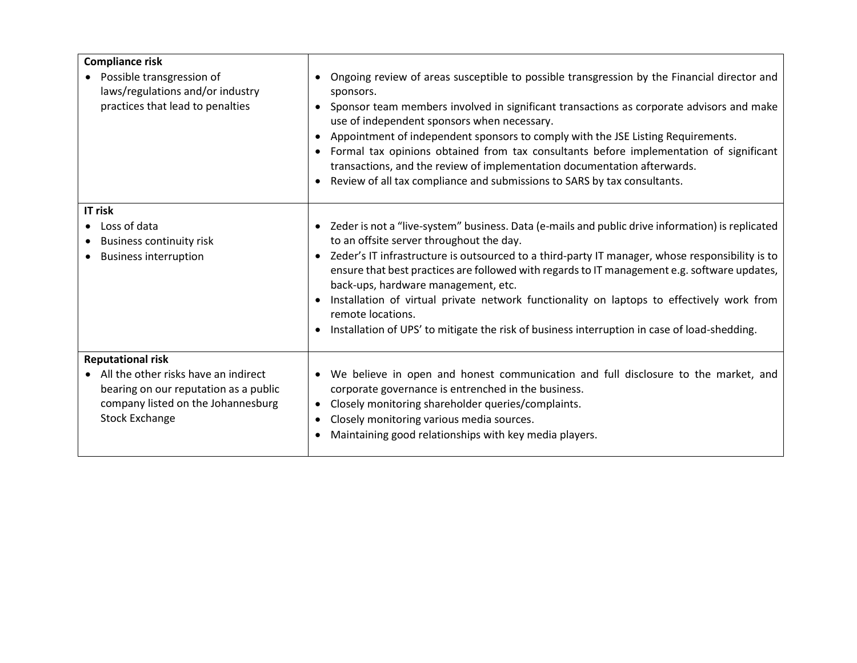| <b>Compliance risk</b><br>• Possible transgression of<br>laws/regulations and/or industry<br>practices that lead to penalties                                              | Ongoing review of areas susceptible to possible transgression by the Financial director and<br>$\bullet$<br>sponsors.<br>Sponsor team members involved in significant transactions as corporate advisors and make<br>$\bullet$<br>use of independent sponsors when necessary.<br>Appointment of independent sponsors to comply with the JSE Listing Requirements.<br>$\bullet$<br>Formal tax opinions obtained from tax consultants before implementation of significant<br>$\bullet$<br>transactions, and the review of implementation documentation afterwards.<br>Review of all tax compliance and submissions to SARS by tax consultants.<br>$\bullet$ |
|----------------------------------------------------------------------------------------------------------------------------------------------------------------------------|------------------------------------------------------------------------------------------------------------------------------------------------------------------------------------------------------------------------------------------------------------------------------------------------------------------------------------------------------------------------------------------------------------------------------------------------------------------------------------------------------------------------------------------------------------------------------------------------------------------------------------------------------------|
| IT risk<br>Loss of data<br><b>Business continuity risk</b><br><b>Business interruption</b>                                                                                 | • Zeder is not a "live-system" business. Data (e-mails and public drive information) is replicated<br>to an offsite server throughout the day.<br>Zeder's IT infrastructure is outsourced to a third-party IT manager, whose responsibility is to<br>$\bullet$<br>ensure that best practices are followed with regards to IT management e.g. software updates,<br>back-ups, hardware management, etc.<br>Installation of virtual private network functionality on laptops to effectively work from<br>$\bullet$<br>remote locations.<br>Installation of UPS' to mitigate the risk of business interruption in case of load-shedding.                       |
| <b>Reputational risk</b><br>• All the other risks have an indirect<br>bearing on our reputation as a public<br>company listed on the Johannesburg<br><b>Stock Exchange</b> | We believe in open and honest communication and full disclosure to the market, and<br>$\bullet$<br>corporate governance is entrenched in the business.<br>Closely monitoring shareholder queries/complaints.<br>$\bullet$<br>Closely monitoring various media sources.<br>٠<br>Maintaining good relationships with key media players.                                                                                                                                                                                                                                                                                                                      |